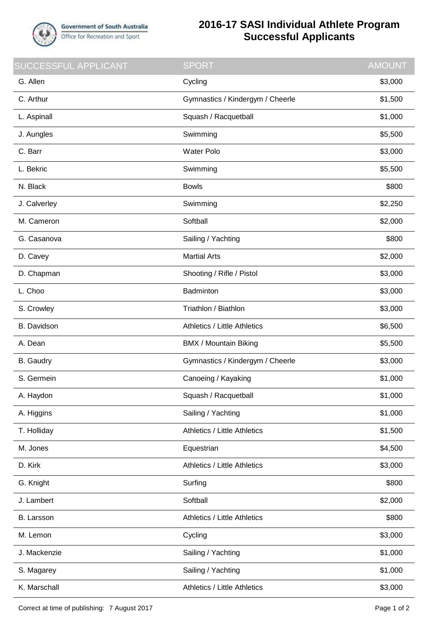

## **2016-17 SASI Individual Athlete Program Successful Applicants**

| <b>SUCCESSFUL APPLICANT</b> | <b>SPORT</b>                        | <b>AMOUNT</b> |
|-----------------------------|-------------------------------------|---------------|
| G. Allen                    | Cycling                             | \$3,000       |
| C. Arthur                   | Gymnastics / Kindergym / Cheerle    | \$1,500       |
| L. Aspinall                 | Squash / Racquetball                | \$1,000       |
| J. Aungles                  | Swimming                            | \$5,500       |
| C. Barr                     | <b>Water Polo</b>                   | \$3,000       |
| L. Bekric                   | Swimming                            | \$5,500       |
| N. Black                    | <b>Bowls</b>                        | \$800         |
| J. Calverley                | Swimming                            | \$2,250       |
| M. Cameron                  | Softball                            | \$2,000       |
| G. Casanova                 | Sailing / Yachting                  | \$800         |
| D. Cavey                    | <b>Martial Arts</b>                 | \$2,000       |
| D. Chapman                  | Shooting / Rifle / Pistol           | \$3,000       |
| L. Choo                     | Badminton                           | \$3,000       |
| S. Crowley                  | Triathlon / Biathlon                | \$3,000       |
| <b>B.</b> Davidson          | <b>Athletics / Little Athletics</b> | \$6,500       |
| A. Dean                     | <b>BMX / Mountain Biking</b>        | \$5,500       |
| <b>B.</b> Gaudry            | Gymnastics / Kindergym / Cheerle    | \$3,000       |
| S. Germein                  | Canoeing / Kayaking                 | \$1,000       |
| A. Haydon                   | Squash / Racquetball                | \$1,000       |
| A. Higgins                  | Sailing / Yachting                  | \$1,000       |
| T. Holliday                 | Athletics / Little Athletics        | \$1,500       |
| M. Jones                    | Equestrian                          | \$4,500       |
| D. Kirk                     | <b>Athletics / Little Athletics</b> | \$3,000       |
| G. Knight                   | Surfing                             | \$800         |
| J. Lambert                  | Softball                            | \$2,000       |
| B. Larsson                  | <b>Athletics / Little Athletics</b> | \$800         |
| M. Lemon                    | Cycling                             | \$3,000       |
| J. Mackenzie                | Sailing / Yachting                  | \$1,000       |
| S. Magarey                  | Sailing / Yachting                  | \$1,000       |
| K. Marschall                | <b>Athletics / Little Athletics</b> | \$3,000       |